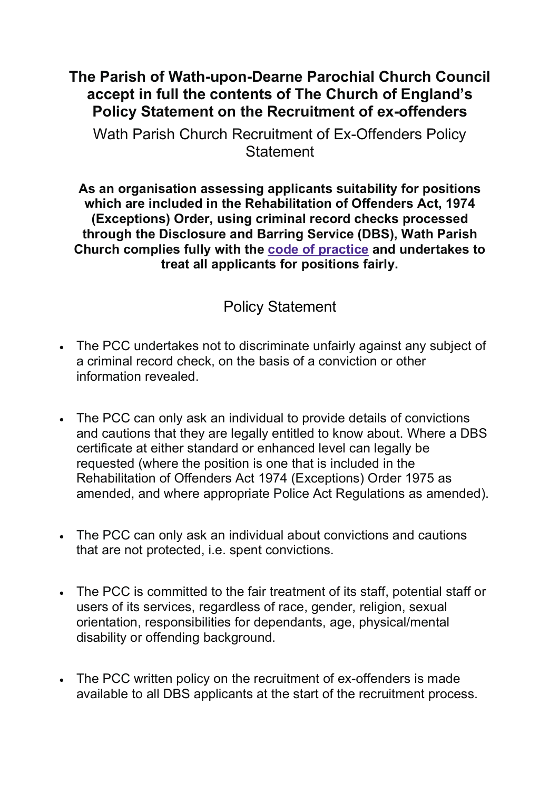## **The Parish of Wath-upon-Dearne Parochial Church Council accept in full the contents of The Church of England's Policy Statement on the Recruitment of ex-offenders**

Wath Parish Church Recruitment of Ex-Offenders Policy **Statement** 

**As an organisation assessing applicants suitability for positions which are included in the Rehabilitation of Offenders Act, 1974 (Exceptions) Order, using criminal record checks processed through the Disclosure and Barring Service (DBS), Wath Parish Church complies fully with the code of practice and undertakes to treat all applicants for positions fairly.**

## Policy Statement

- The PCC undertakes not to discriminate unfairly against any subject of a criminal record check, on the basis of a conviction or other information revealed.
- The PCC can only ask an individual to provide details of convictions and cautions that they are legally entitled to know about. Where a DBS certificate at either standard or enhanced level can legally be requested (where the position is one that is included in the Rehabilitation of Offenders Act 1974 (Exceptions) Order 1975 as amended, and where appropriate Police Act Regulations as amended).
- The PCC can only ask an individual about convictions and cautions that are not protected, i.e. spent convictions.
- The PCC is committed to the fair treatment of its staff, potential staff or users of its services, regardless of race, gender, religion, sexual orientation, responsibilities for dependants, age, physical/mental disability or offending background.
- The PCC written policy on the recruitment of ex-offenders is made available to all DBS applicants at the start of the recruitment process.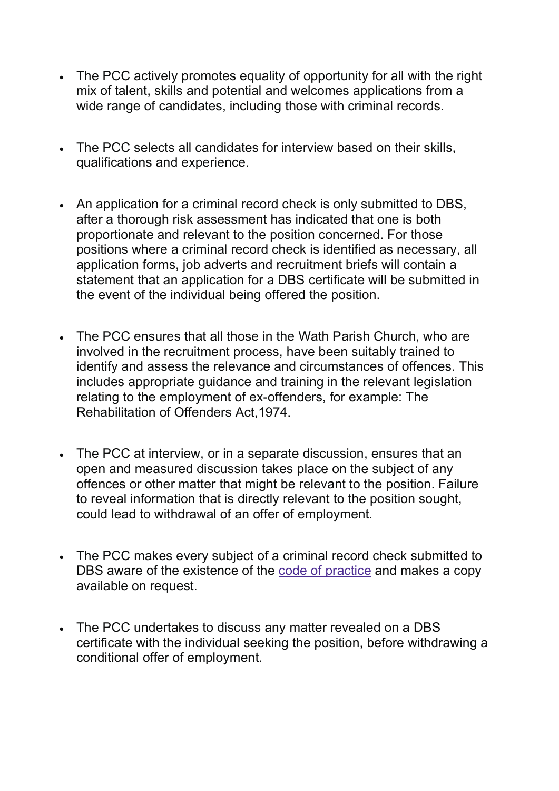- The PCC actively promotes equality of opportunity for all with the right mix of talent, skills and potential and welcomes applications from a wide range of candidates, including those with criminal records.
- The PCC selects all candidates for interview based on their skills, qualifications and experience.
- An application for a criminal record check is only submitted to DBS, after a thorough risk assessment has indicated that one is both proportionate and relevant to the position concerned. For those positions where a criminal record check is identified as necessary, all application forms, job adverts and recruitment briefs will contain a statement that an application for a DBS certificate will be submitted in the event of the individual being offered the position.
- The PCC ensures that all those in the Wath Parish Church, who are involved in the recruitment process, have been suitably trained to identify and assess the relevance and circumstances of offences. This includes appropriate guidance and training in the relevant legislation relating to the employment of ex-offenders, for example: The Rehabilitation of Offenders Act,1974.
- The PCC at interview, or in a separate discussion, ensures that an open and measured discussion takes place on the subject of any offences or other matter that might be relevant to the position. Failure to reveal information that is directly relevant to the position sought, could lead to withdrawal of an offer of employment.
- The PCC makes every subject of a criminal record check submitted to DBS aware of the existence of the code of practice and makes a copy available on request.
- The PCC undertakes to discuss any matter revealed on a DBS certificate with the individual seeking the position, before withdrawing a conditional offer of employment.